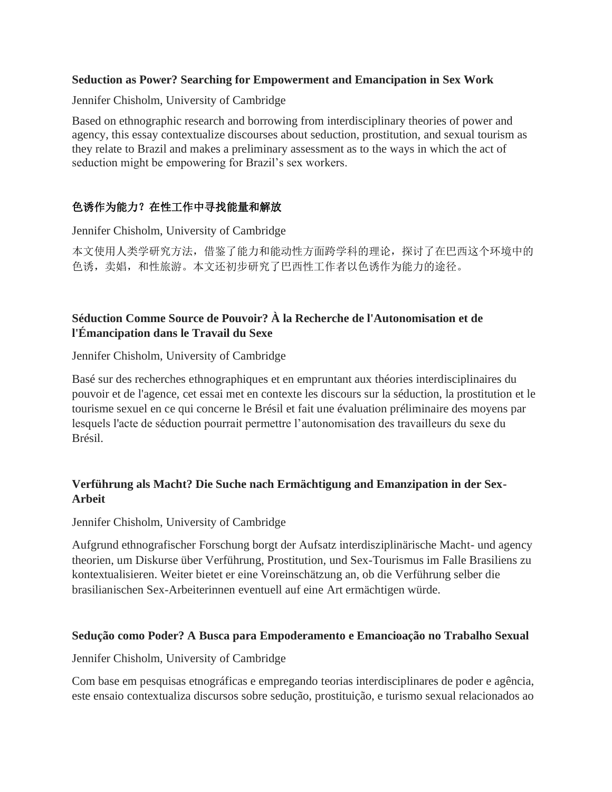#### **Seduction as Power? Searching for Empowerment and Emancipation in Sex Work**

Jennifer Chisholm, University of Cambridge

Based on ethnographic research and borrowing from interdisciplinary theories of power and agency, this essay contextualize discourses about seduction, prostitution, and sexual tourism as they relate to Brazil and makes a preliminary assessment as to the ways in which the act of seduction might be empowering for Brazil's sex workers.

# 色诱作为能力?在性工作中寻找能量和解放

Jennifer Chisholm, University of Cambridge

本文使用人类学研究方法,借鉴了能力和能动性方面跨学科的理论,探讨了在巴西这个环境中的 色诱,卖娼,和性旅游。本文还初步研究了巴西性工作者以色诱作为能力的途径。

## **Séduction Comme Source de Pouvoir? À la Recherche de l'Autonomisation et de l'Émancipation dans le Travail du Sexe**

Jennifer Chisholm, University of Cambridge

Basé sur des recherches ethnographiques et en empruntant aux théories interdisciplinaires du pouvoir et de l'agence, cet essai met en contexte les discours sur la séduction, la prostitution et le tourisme sexuel en ce qui concerne le Brésil et fait une évaluation préliminaire des moyens par lesquels l'acte de séduction pourrait permettre l'autonomisation des travailleurs du sexe du Brésil.

## **Verführung als Macht? Die Suche nach Ermächtigung and Emanzipation in der Sex-Arbeit**

Jennifer Chisholm, University of Cambridge

Aufgrund ethnografischer Forschung borgt der Aufsatz interdisziplinärische Macht- und agency theorien, um Diskurse über Verführung, Prostitution, und Sex-Tourismus im Falle Brasiliens zu kontextualisieren. Weiter bietet er eine Voreinschätzung an, ob die Verführung selber die brasilianischen Sex-Arbeiterinnen eventuell auf eine Art ermächtigen würde.

#### **Sedução como Poder? A Busca para Empoderamento e Emancioação no Trabalho Sexual**

Jennifer Chisholm, University of Cambridge

Com base em pesquisas etnográficas e empregando teorias interdisciplinares de poder e agência, este ensaio contextualiza discursos sobre sedução, prostituição, e turismo sexual relacionados ao